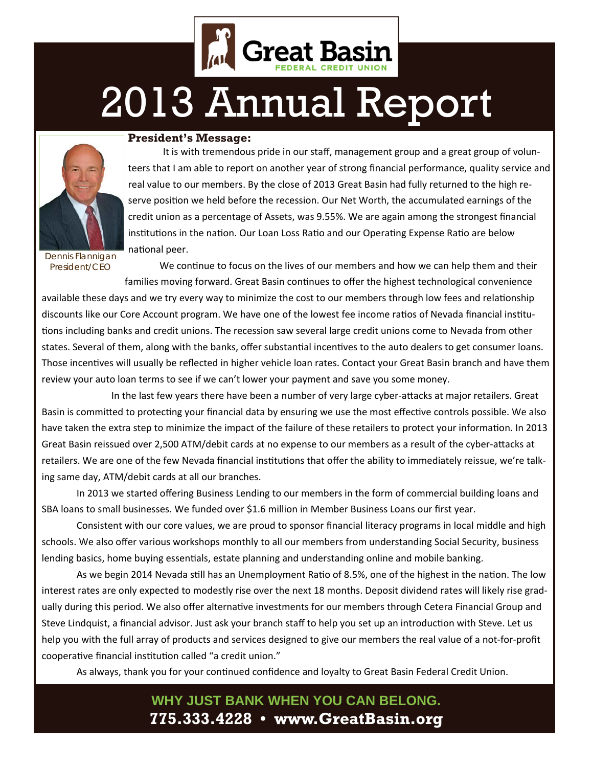

# 2013 Annual Report



#### **President's Message:**

It is with tremendous pride in our staff, management group and a great group of volunteers that I am able to report on another year of strong financial performance, quality service and real value to our members. By the close of 2013 Great Basin had fully returned to the high reserve position we held before the recession. Our Net Worth, the accumulated earnings of the credit union as a percentage of Assets, was 9.55%. We are again among the strongest financial institutions in the nation. Our Loan Loss Ratio and our Operating Expense Ratio are below national peer.

*Dennis Flannigan President/CEO* 

We continue to focus on the lives of our members and how we can help them and their families moving forward. Great Basin continues to offer the highest technological convenience

available these days and we try every way to minimize the cost to our members through low fees and relationship discounts like our Core Account program. We have one of the lowest fee income ratios of Nevada financial institutions including banks and credit unions. The recession saw several large credit unions come to Nevada from other states. Several of them, along with the banks, offer substantial incentives to the auto dealers to get consumer loans. Those incentives will usually be reflected in higher vehicle loan rates. Contact your Great Basin branch and have them review your auto loan terms to see if we can't lower your payment and save you some money.

In the last few years there have been a number of very large cyber-attacks at major retailers. Great Basin is committed to protecting your financial data by ensuring we use the most effective controls possible. We also have taken the extra step to minimize the impact of the failure of these retailers to protect your information. In 2013 Great Basin reissued over 2,500 ATM/debit cards at no expense to our members as a result of the cyber-attacks at retailers. We are one of the few Nevada financial institutions that offer the ability to immediately reissue, we're talking same day, ATM/debit cards at all our branches.

 In 2013 we started offering Business Lending to our members in the form of commercial building loans and SBA loans to small businesses. We funded over \$1.6 million in Member Business Loans our first year.

 Consistent with our core values, we are proud to sponsor financial literacy programs in local middle and high schools. We also offer various workshops monthly to all our members from understanding Social Security, business lending basics, home buying essentials, estate planning and understanding online and mobile banking.

As we begin 2014 Nevada still has an Unemployment Ratio of 8.5%, one of the highest in the nation. The low interest rates are only expected to modestly rise over the next 18 months. Deposit dividend rates will likely rise gradually during this period. We also offer alternative investments for our members through Cetera Financial Group and Steve Lindquist, a financial advisor. Just ask your branch staff to help you set up an introduction with Steve. Let us help you with the full array of products and services designed to give our members the real value of a not-for-profit cooperative financial institution called "a credit union."

As always, thank you for your continued confidence and loyalty to Great Basin Federal Credit Union.

### **WHY JUST BANK WHEN YOU CAN BELONG. 775.333.4228 • www.GreatBasin.org**